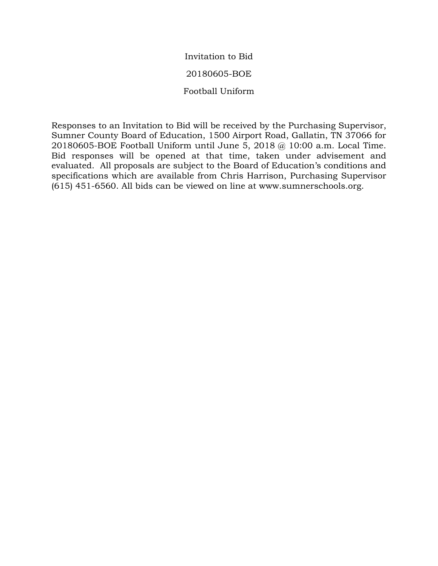Invitation to Bid 20180605-BOE Football Uniform

Responses to an Invitation to Bid will be received by the Purchasing Supervisor, Sumner County Board of Education, 1500 Airport Road, Gallatin, TN 37066 for 20180605-BOE Football Uniform until June 5, 2018 @ 10:00 a.m. Local Time. Bid responses will be opened at that time, taken under advisement and evaluated. All proposals are subject to the Board of Education's conditions and specifications which are available from Chris Harrison, Purchasing Supervisor (615) 451-6560. All bids can be viewed on line at www.sumnerschools.org.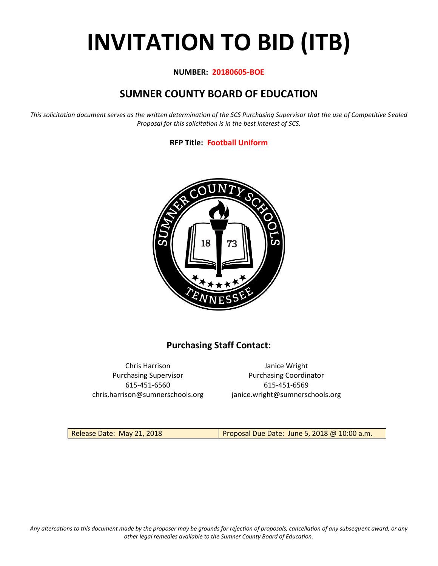# **INVITATION TO BID (ITB)**

#### **NUMBER: 20180605-BOE**

# **SUMNER COUNTY BOARD OF EDUCATION**

*This solicitation document serves as the written determination of the SCS Purchasing Supervisor that the use of Competitive Sealed Proposal for this solicitation is in the best interest of SCS.*

#### **RFP Title: Football Uniform**



## **Purchasing Staff Contact:**

Chris Harrison Janice Wright 615-451-6560 615-451-6569 chris.harrison@sumnerschools.org janice.wright@sumnerschools.org

Purchasing Supervisor **Purchasing Coordinator** 

Release Date: May 21, 2018 **Proposal Due Date: June 5, 2018 @ 10:00 a.m.**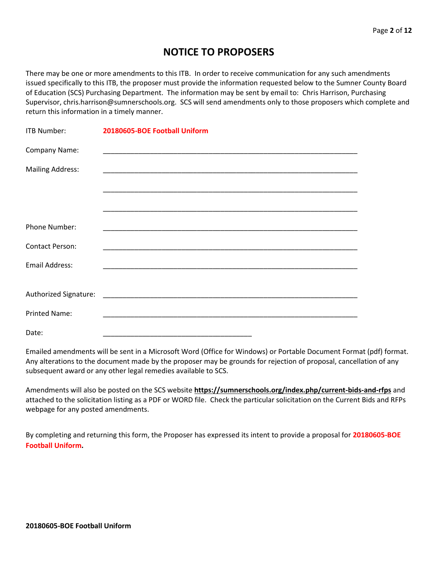## **NOTICE TO PROPOSERS**

There may be one or more amendments to this ITB. In order to receive communication for any such amendments issued specifically to this ITB, the proposer must provide the information requested below to the Sumner County Board of Education (SCS) Purchasing Department. The information may be sent by email to: Chris Harrison, Purchasing Supervisor, chris.harrison@sumnerschools.org. SCS will send amendments only to those proposers which complete and return this information in a timely manner.

| ITB Number:             | 20180605-BOE Football Uniform |
|-------------------------|-------------------------------|
| Company Name:           |                               |
| <b>Mailing Address:</b> |                               |
|                         |                               |
|                         |                               |
| Phone Number:           |                               |
| <b>Contact Person:</b>  |                               |
| <b>Email Address:</b>   |                               |
|                         |                               |
|                         |                               |
| <b>Printed Name:</b>    |                               |
| Date:                   |                               |

Emailed amendments will be sent in a Microsoft Word (Office for Windows) or Portable Document Format (pdf) format. Any alterations to the document made by the proposer may be grounds for rejection of proposal, cancellation of any subsequent award or any other legal remedies available to SCS.

Amendments will also be posted on the SCS website **https://sumnerschools.org/index.php/current-bids-and-rfps** and attached to the solicitation listing as a PDF or WORD file. Check the particular solicitation on the Current Bids and RFPs webpage for any posted amendments.

By completing and returning this form, the Proposer has expressed its intent to provide a proposal for **20180605-BOE Football Uniform.**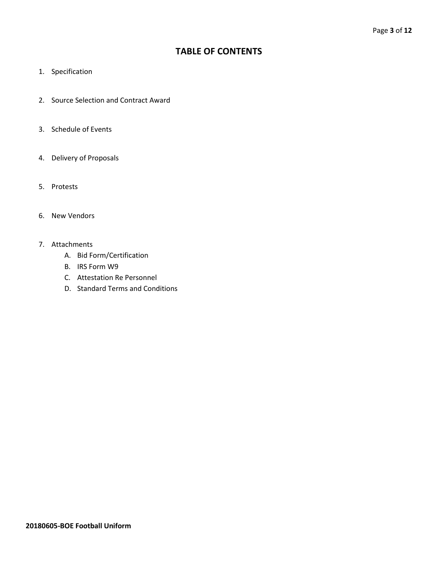## **TABLE OF CONTENTS**

- 1. Specification
- 2. Source Selection and Contract Award
- 3. Schedule of Events
- 4. Delivery of Proposals
- 5. Protests
- 6. New Vendors
- 7. Attachments
	- A. Bid Form/Certification
	- B. IRS Form W9
	- C. Attestation Re Personnel
	- D. Standard Terms and Conditions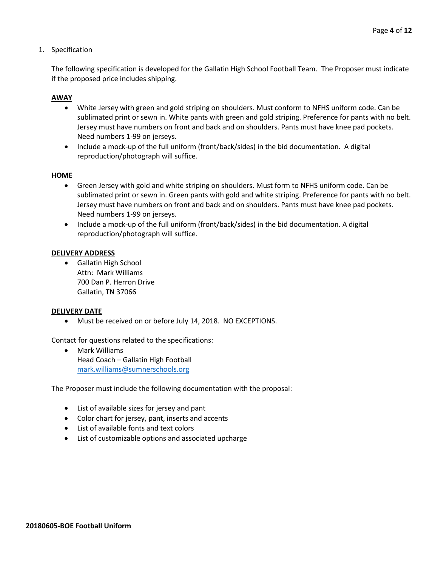1. Specification

The following specification is developed for the Gallatin High School Football Team. The Proposer must indicate if the proposed price includes shipping.

#### **AWAY**

- White Jersey with green and gold striping on shoulders. Must conform to NFHS uniform code. Can be sublimated print or sewn in. White pants with green and gold striping. Preference for pants with no belt. Jersey must have numbers on front and back and on shoulders. Pants must have knee pad pockets. Need numbers 1-99 on jerseys.
- Include a mock-up of the full uniform (front/back/sides) in the bid documentation. A digital reproduction/photograph will suffice.

#### **HOME**

- Green Jersey with gold and white striping on shoulders. Must form to NFHS uniform code. Can be sublimated print or sewn in. Green pants with gold and white striping. Preference for pants with no belt. Jersey must have numbers on front and back and on shoulders. Pants must have knee pad pockets. Need numbers 1-99 on jerseys.
- Include a mock-up of the full uniform (front/back/sides) in the bid documentation. A digital reproduction/photograph will suffice.

#### **DELIVERY ADDRESS**

• Gallatin High School Attn: Mark Williams 700 Dan P. Herron Drive Gallatin, TN 37066

#### **DELIVERY DATE**

• Must be received on or before July 14, 2018. NO EXCEPTIONS.

Contact for questions related to the specifications:

• Mark Williams Head Coach – Gallatin High Football [mark.williams@sumnerschools.org](mailto:mark.williams@sumnerschools.org)

The Proposer must include the following documentation with the proposal:

- List of available sizes for jersey and pant
- Color chart for jersey, pant, inserts and accents
- List of available fonts and text colors
- List of customizable options and associated upcharge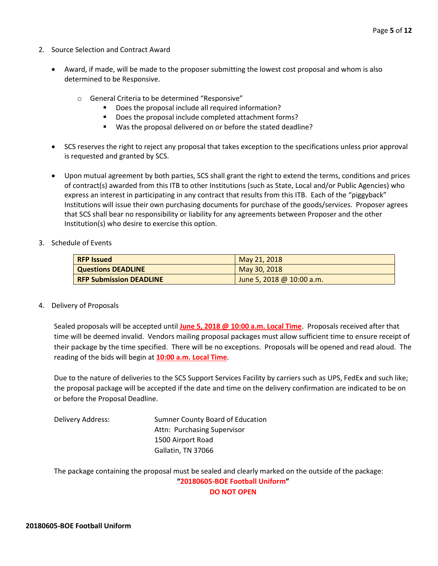- 2. Source Selection and Contract Award
	- Award, if made, will be made to the proposer submitting the lowest cost proposal and whom is also determined to be Responsive.
		- o General Criteria to be determined "Responsive"
			- Does the proposal include all required information?
			- Does the proposal include completed attachment forms?
			- Was the proposal delivered on or before the stated deadline?
	- SCS reserves the right to reject any proposal that takes exception to the specifications unless prior approval is requested and granted by SCS.
	- Upon mutual agreement by both parties, SCS shall grant the right to extend the terms, conditions and prices of contract(s) awarded from this ITB to other Institutions (such as State, Local and/or Public Agencies) who express an interest in participating in any contract that results from this ITB. Each of the "piggyback" Institutions will issue their own purchasing documents for purchase of the goods/services. Proposer agrees that SCS shall bear no responsibility or liability for any agreements between Proposer and the other Institution(s) who desire to exercise this option.
- 3. Schedule of Events

| <b>RFP Issued</b>              | May 21, 2018              |
|--------------------------------|---------------------------|
| <b>Questions DEADLINE</b>      | May 30, 2018              |
| <b>RFP Submission DEADLINE</b> | June 5, 2018 @ 10:00 a.m. |

4. Delivery of Proposals

Sealed proposals will be accepted until **June 5, 2018 @ 10:00 a.m. Local Time**. Proposals received after that time will be deemed invalid. Vendors mailing proposal packages must allow sufficient time to ensure receipt of their package by the time specified. There will be no exceptions. Proposals will be opened and read aloud. The reading of the bids will begin at **10:00 a.m. Local Time**.

Due to the nature of deliveries to the SCS Support Services Facility by carriers such as UPS, FedEx and such like; the proposal package will be accepted if the date and time on the delivery confirmation are indicated to be on or before the Proposal Deadline.

Delivery Address: Sumner County Board of Education Attn: Purchasing Supervisor 1500 Airport Road Gallatin, TN 37066

The package containing the proposal must be sealed and clearly marked on the outside of the package: **"20180605-BOE Football Uniform" DO NOT OPEN**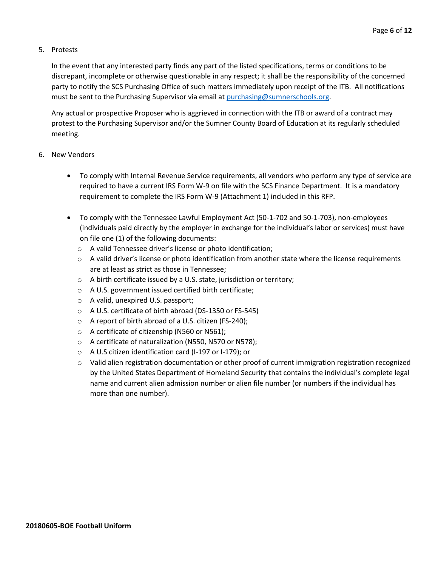#### 5. Protests

In the event that any interested party finds any part of the listed specifications, terms or conditions to be discrepant, incomplete or otherwise questionable in any respect; it shall be the responsibility of the concerned party to notify the SCS Purchasing Office of such matters immediately upon receipt of the ITB. All notifications must be sent to the Purchasing Supervisor via email at [purchasing@sumnerschools.org.](mailto:purchasing@sumnerschools.org)

Any actual or prospective Proposer who is aggrieved in connection with the ITB or award of a contract may protest to the Purchasing Supervisor and/or the Sumner County Board of Education at its regularly scheduled meeting.

#### 6. New Vendors

- To comply with Internal Revenue Service requirements, all vendors who perform any type of service are required to have a current IRS Form W-9 on file with the SCS Finance Department. It is a mandatory requirement to complete the IRS Form W-9 (Attachment 1) included in this RFP.
- To comply with the Tennessee Lawful Employment Act (50-1-702 and 50-1-703), non-employees (individuals paid directly by the employer in exchange for the individual's labor or services) must have on file one (1) of the following documents:
	- o A valid Tennessee driver's license or photo identification;
	- $\circ$  A valid driver's license or photo identification from another state where the license requirements are at least as strict as those in Tennessee;
	- o A birth certificate issued by a U.S. state, jurisdiction or territory;
	- o A U.S. government issued certified birth certificate;
	- o A valid, unexpired U.S. passport;
	- o A U.S. certificate of birth abroad (DS-1350 or FS-545)
	- o A report of birth abroad of a U.S. citizen (FS-240);
	- o A certificate of citizenship (N560 or N561);
	- o A certificate of naturalization (N550, N570 or N578);
	- o A U.S citizen identification card (I-197 or I-179); or
	- $\circ$  Valid alien registration documentation or other proof of current immigration registration recognized by the United States Department of Homeland Security that contains the individual's complete legal name and current alien admission number or alien file number (or numbers if the individual has more than one number).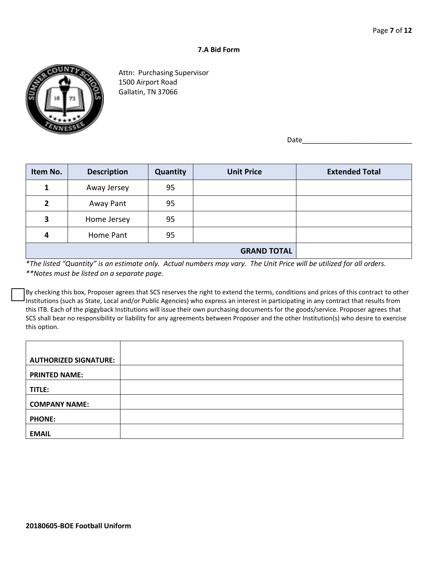#### **7.A Bid Form**



Attn: Purchasing Supervisor 1500 Airport Road Gallatin, TN 37066

Date

| Item No. | <b>Description</b> | Quantity | <b>Unit Price</b> | <b>Extended Total</b> |
|----------|--------------------|----------|-------------------|-----------------------|
|          | Away Jersey        | 95       |                   |                       |
| 2        | Away Pant          | 95       |                   |                       |
| 3        | Home Jersey        | 95       |                   |                       |
| 4        | Home Pant          | 95       |                   |                       |
|          |                    |          |                   |                       |

*\*The listed "Quantity" is an estimate only. Actual numbers may vary. The Unit Price will be utilized for all orders. \*\*Notes must be listed on a separate page.*

By checking this box, Proposer agrees that SCS reserves the right to extend the terms, conditions and prices of this contract to other Institutions (such as State, Local and/or Public Agencies) who express an interest in participating in any contract that results from this ITB. Each of the piggyback Institutions will issue their own purchasing documents for the goods/service. Proposer agrees that SCS shall bear no responsibility or liability for any agreements between Proposer and the other Institution(s) who desire to exercise this option.

| <b>AUTHORIZED SIGNATURE:</b> |  |
|------------------------------|--|
| <b>PRINTED NAME:</b>         |  |
| TITLE:                       |  |
| <b>COMPANY NAME:</b>         |  |
| <b>PHONE:</b>                |  |
| <b>EMAIL</b>                 |  |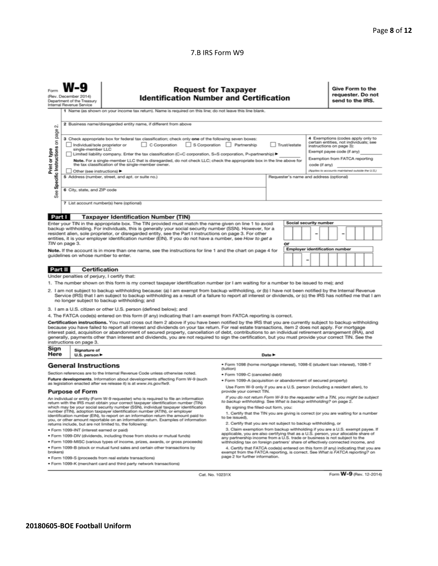#### 7.B IRS Form W9

|                                                                                                                                                                                                                                                                                                                                                                                                                                                                                                                                                                                                                                                                                                                                                                             | <b>Request for Taxpayer</b><br><b>Identification Number and Certification</b><br>(Rev. December 2014)<br>Department of the Treasury<br>Internal Revenue Service<br>1 Name (as shown on your income tax return). Name is required on this line; do not leave this line blank. |                                                                                                                                                                                                                                                                                                                                                                                                                                                                                                             |                                                                                                                                                                     |                                                                                                                                                                                                                                                                                          | Give Form to the<br>requester. Do not<br>send to the IRS. |  |  |  |
|-----------------------------------------------------------------------------------------------------------------------------------------------------------------------------------------------------------------------------------------------------------------------------------------------------------------------------------------------------------------------------------------------------------------------------------------------------------------------------------------------------------------------------------------------------------------------------------------------------------------------------------------------------------------------------------------------------------------------------------------------------------------------------|------------------------------------------------------------------------------------------------------------------------------------------------------------------------------------------------------------------------------------------------------------------------------|-------------------------------------------------------------------------------------------------------------------------------------------------------------------------------------------------------------------------------------------------------------------------------------------------------------------------------------------------------------------------------------------------------------------------------------------------------------------------------------------------------------|---------------------------------------------------------------------------------------------------------------------------------------------------------------------|------------------------------------------------------------------------------------------------------------------------------------------------------------------------------------------------------------------------------------------------------------------------------------------|-----------------------------------------------------------|--|--|--|
| οi                                                                                                                                                                                                                                                                                                                                                                                                                                                                                                                                                                                                                                                                                                                                                                          | 2 Business name/disregarded entity name, if different from above                                                                                                                                                                                                             |                                                                                                                                                                                                                                                                                                                                                                                                                                                                                                             |                                                                                                                                                                     |                                                                                                                                                                                                                                                                                          |                                                           |  |  |  |
| page<br>3 Check appropriate box for federal tax classification; check only one of the following seven boxes:<br>Specific Instructions on<br>S Corporation Partnership<br>Individual/sole proprietor or<br>C Corporation<br>single-member LLC<br>Print or type<br>Limited liability company. Enter the tax classification (C=C corporation, S=S corporation, P=partnership) ▶<br>Note. For a single-member LLC that is disregarded, do not check LLC; check the appropriate box in the line above for<br>the tax classification of the single-member owner.<br>Other (see instructions) ▶<br>5 Address (number, street, and apt. or suite no.)<br>6 City, state, and ZIP code<br>See                                                                                         |                                                                                                                                                                                                                                                                              |                                                                                                                                                                                                                                                                                                                                                                                                                                                                                                             | Trust/estate                                                                                                                                                        | 4 Exemptions (codes apply only to<br>certain entities, not individuals; see<br>instructions on page 3):<br>Exempt payee code (if any)<br>Exemption from FATCA reporting<br>code (if any)<br>(Applies to accounts maintained outside the U.S.)<br>Requester's name and address (optional) |                                                           |  |  |  |
|                                                                                                                                                                                                                                                                                                                                                                                                                                                                                                                                                                                                                                                                                                                                                                             |                                                                                                                                                                                                                                                                              | 7 List account number(s) here (optional)                                                                                                                                                                                                                                                                                                                                                                                                                                                                    |                                                                                                                                                                     |                                                                                                                                                                                                                                                                                          |                                                           |  |  |  |
| Part I                                                                                                                                                                                                                                                                                                                                                                                                                                                                                                                                                                                                                                                                                                                                                                      |                                                                                                                                                                                                                                                                              | <b>Taxpayer Identification Number (TIN)</b>                                                                                                                                                                                                                                                                                                                                                                                                                                                                 |                                                                                                                                                                     |                                                                                                                                                                                                                                                                                          |                                                           |  |  |  |
| Enter your TIN in the appropriate box. The TIN provided must match the name given on line 1 to avoid<br>backup withholding. For individuals, this is generally your social security number (SSN). However, for a<br>resident alien, sole proprietor, or disregarded entity, see the Part I instructions on page 3. For other<br>entities, it is your employer identification number (EIN). If you do not have a number, see How to get a<br>TIN on page 3.<br>Note. If the account is in more than one name, see the instructions for line 1 and the chart on page 4 for<br>guidelines on whose number to enter.                                                                                                                                                            |                                                                                                                                                                                                                                                                              |                                                                                                                                                                                                                                                                                                                                                                                                                                                                                                             | Social security number<br>or<br><b>Employer identification number</b>                                                                                               |                                                                                                                                                                                                                                                                                          |                                                           |  |  |  |
| Part II                                                                                                                                                                                                                                                                                                                                                                                                                                                                                                                                                                                                                                                                                                                                                                     | <b>Certification</b>                                                                                                                                                                                                                                                         |                                                                                                                                                                                                                                                                                                                                                                                                                                                                                                             |                                                                                                                                                                     |                                                                                                                                                                                                                                                                                          |                                                           |  |  |  |
|                                                                                                                                                                                                                                                                                                                                                                                                                                                                                                                                                                                                                                                                                                                                                                             | Under penalties of perjury, I certify that:                                                                                                                                                                                                                                  |                                                                                                                                                                                                                                                                                                                                                                                                                                                                                                             |                                                                                                                                                                     |                                                                                                                                                                                                                                                                                          |                                                           |  |  |  |
|                                                                                                                                                                                                                                                                                                                                                                                                                                                                                                                                                                                                                                                                                                                                                                             |                                                                                                                                                                                                                                                                              | 1. The number shown on this form is my correct taxpayer identification number (or I am waiting for a number to be issued to me); and<br>2. I am not subject to backup withholding because: (a) I am exempt from backup withholding, or (b) I have not been notified by the Internal Revenue<br>Service (IRS) that I am subject to backup withholding as a result of a failure to report all interest or dividends, or (c) the IRS has notified me that I am<br>no longer subject to backup withholding; and |                                                                                                                                                                     |                                                                                                                                                                                                                                                                                          |                                                           |  |  |  |
|                                                                                                                                                                                                                                                                                                                                                                                                                                                                                                                                                                                                                                                                                                                                                                             |                                                                                                                                                                                                                                                                              | 3. I am a U.S. citizen or other U.S. person (defined below); and                                                                                                                                                                                                                                                                                                                                                                                                                                            |                                                                                                                                                                     |                                                                                                                                                                                                                                                                                          |                                                           |  |  |  |
| 4. The FATCA code(s) entered on this form (if any) indicating that I am exempt from FATCA reporting is correct.<br>Certification instructions. You must cross out item 2 above if you have been notified by the IRS that you are currently subject to backup withholding<br>because you have failed to report all interest and dividends on your tax return. For real estate transactions, item 2 does not apply. For mortgage<br>interest paid, acquisition or abandonment of secured property, cancellation of debt, contributions to an individual retirement arrangement (IRA), and<br>generally, payments other than interest and dividends, you are not required to sign the certification, but you must provide your correct TIN. See the<br>instructions on page 3. |                                                                                                                                                                                                                                                                              |                                                                                                                                                                                                                                                                                                                                                                                                                                                                                                             |                                                                                                                                                                     |                                                                                                                                                                                                                                                                                          |                                                           |  |  |  |
| Sign<br>Here                                                                                                                                                                                                                                                                                                                                                                                                                                                                                                                                                                                                                                                                                                                                                                | Signature of<br>Date $\blacktriangleright$<br>U.S. person $\blacktriangleright$                                                                                                                                                                                              |                                                                                                                                                                                                                                                                                                                                                                                                                                                                                                             |                                                                                                                                                                     |                                                                                                                                                                                                                                                                                          |                                                           |  |  |  |
| · Form 1098 (home mortgage interest), 1098-E (student loan interest), 1098-T<br><b>General Instructions</b>                                                                                                                                                                                                                                                                                                                                                                                                                                                                                                                                                                                                                                                                 |                                                                                                                                                                                                                                                                              |                                                                                                                                                                                                                                                                                                                                                                                                                                                                                                             |                                                                                                                                                                     |                                                                                                                                                                                                                                                                                          |                                                           |  |  |  |
| Section references are to the Internal Revenue Code unless otherwise noted.                                                                                                                                                                                                                                                                                                                                                                                                                                                                                                                                                                                                                                                                                                 |                                                                                                                                                                                                                                                                              | (tuition)<br>· Form 1099-C (canceled debt)                                                                                                                                                                                                                                                                                                                                                                                                                                                                  |                                                                                                                                                                     |                                                                                                                                                                                                                                                                                          |                                                           |  |  |  |
| Future developments. Information about developments affecting Form W-9 (such<br>. Form 1099-A (acquisition or abandonment of secured property)                                                                                                                                                                                                                                                                                                                                                                                                                                                                                                                                                                                                                              |                                                                                                                                                                                                                                                                              |                                                                                                                                                                                                                                                                                                                                                                                                                                                                                                             |                                                                                                                                                                     |                                                                                                                                                                                                                                                                                          |                                                           |  |  |  |
| as legislation enacted after we release it) is at www.irs.gov/fw9.                                                                                                                                                                                                                                                                                                                                                                                                                                                                                                                                                                                                                                                                                                          |                                                                                                                                                                                                                                                                              | Use Form W-9 only if you are a U.S. person (including a resident alien), to<br>provide your correct TIN.                                                                                                                                                                                                                                                                                                                                                                                                    |                                                                                                                                                                     |                                                                                                                                                                                                                                                                                          |                                                           |  |  |  |
| <b>Purpose of Form</b><br>If you do not return Form W-9 to the requester with a TIN, you might be subject<br>An individual or entity (Form W-9 requester) who is required to file an information<br>to backup withholding. See What is backup withholding? on page 2.<br>return with the IRS must obtain your correct taxpayer identification number (TIN)<br>which may be your social security number (SSN), individual taxpayer identification<br>By signing the filled-out form, you:<br>number (ITIN), adoption taxpayer identification number (ATIN), or employer<br>1. Certify that the TIN you are giving is correct (or you are waiting for a number<br>identification number (EIN), to report on an information return the amount paid to                          |                                                                                                                                                                                                                                                                              |                                                                                                                                                                                                                                                                                                                                                                                                                                                                                                             |                                                                                                                                                                     |                                                                                                                                                                                                                                                                                          |                                                           |  |  |  |
| to be issued).<br>you, or other amount reportable on an information return. Examples of information<br>2. Certify that you are not subject to backup withholding, or<br>returns include, but are not limited to, the following:                                                                                                                                                                                                                                                                                                                                                                                                                                                                                                                                             |                                                                                                                                                                                                                                                                              |                                                                                                                                                                                                                                                                                                                                                                                                                                                                                                             |                                                                                                                                                                     |                                                                                                                                                                                                                                                                                          |                                                           |  |  |  |
| 3. Claim exemption from backup withholding if you are a U.S. exempt payee. If<br>· Form 1099-INT (interest earned or paid)                                                                                                                                                                                                                                                                                                                                                                                                                                                                                                                                                                                                                                                  |                                                                                                                                                                                                                                                                              |                                                                                                                                                                                                                                                                                                                                                                                                                                                                                                             |                                                                                                                                                                     |                                                                                                                                                                                                                                                                                          |                                                           |  |  |  |
| . Form 1099-DIV (dividends, including those from stocks or mutual funds)                                                                                                                                                                                                                                                                                                                                                                                                                                                                                                                                                                                                                                                                                                    |                                                                                                                                                                                                                                                                              |                                                                                                                                                                                                                                                                                                                                                                                                                                                                                                             | applicable, you are also certifying that as a U.S. person, your allocable share of<br>any partnership income from a U.S. trade or business is not subject to the    |                                                                                                                                                                                                                                                                                          |                                                           |  |  |  |
| * Form 1099-MISC (various types of income, prizes, awards, or gross proceeds)<br>withholding tax on foreign partners' share of effectively connected income, and                                                                                                                                                                                                                                                                                                                                                                                                                                                                                                                                                                                                            |                                                                                                                                                                                                                                                                              |                                                                                                                                                                                                                                                                                                                                                                                                                                                                                                             |                                                                                                                                                                     |                                                                                                                                                                                                                                                                                          |                                                           |  |  |  |
| brokers)                                                                                                                                                                                                                                                                                                                                                                                                                                                                                                                                                                                                                                                                                                                                                                    |                                                                                                                                                                                                                                                                              | . Form 1099-B (stock or mutual fund sales and certain other transactions by                                                                                                                                                                                                                                                                                                                                                                                                                                 | 4. Certify that FATCA code(s) entered on this form (if any) indicating that you are<br>exempt from the FATCA reporting, is correct. See What is FATCA reporting? on |                                                                                                                                                                                                                                                                                          |                                                           |  |  |  |
|                                                                                                                                                                                                                                                                                                                                                                                                                                                                                                                                                                                                                                                                                                                                                                             |                                                                                                                                                                                                                                                                              | · Form 1099-S (proceeds from real estate transactions)                                                                                                                                                                                                                                                                                                                                                                                                                                                      | page 2 for further information.                                                                                                                                     |                                                                                                                                                                                                                                                                                          |                                                           |  |  |  |
|                                                                                                                                                                                                                                                                                                                                                                                                                                                                                                                                                                                                                                                                                                                                                                             | . Form 1099-K (merchant card and third party network transactions)                                                                                                                                                                                                           |                                                                                                                                                                                                                                                                                                                                                                                                                                                                                                             |                                                                                                                                                                     |                                                                                                                                                                                                                                                                                          |                                                           |  |  |  |

Cat. No. 10231X

Form W-9 (Rev. 12-2014)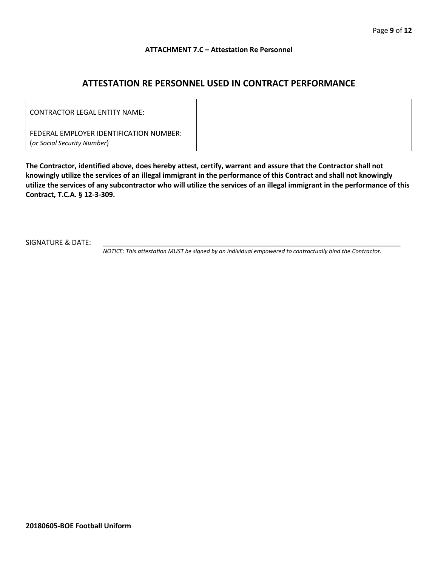#### **ATTACHMENT 7.C – Attestation Re Personnel**

## **ATTESTATION RE PERSONNEL USED IN CONTRACT PERFORMANCE**

| CONTRACTOR LEGAL ENTITY NAME:                                          |  |
|------------------------------------------------------------------------|--|
| FEDERAL EMPLOYER IDENTIFICATION NUMBER:<br>(or Social Security Number) |  |

**The Contractor, identified above, does hereby attest, certify, warrant and assure that the Contractor shall not knowingly utilize the services of an illegal immigrant in the performance of this Contract and shall not knowingly utilize the services of any subcontractor who will utilize the services of an illegal immigrant in the performance of this Contract, T.C.A. § 12-3-309.**

SIGNATURE & DATE:

*NOTICE: This attestation MUST be signed by an individual empowered to contractually bind the Contractor.*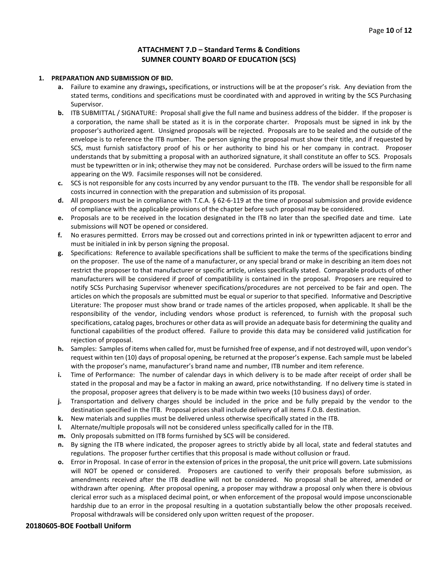#### **ATTACHMENT 7.D – Standard Terms & Conditions SUMNER COUNTY BOARD OF EDUCATION (SCS)**

#### **1. PREPARATION AND SUBMISSION OF BID.**

- **a.** Failure to examine any drawings**,** specifications, or instructions will be at the proposer's risk. Any deviation from the stated terms, conditions and specifications must be coordinated with and approved in writing by the SCS Purchasing Supervisor.
- **b.** ITB SUBMITTAL / SIGNATURE: Proposal shall give the full name and business address of the bidder. If the proposer is a corporation, the name shall be stated as it is in the corporate charter. Proposals must be signed in ink by the proposer's authorized agent. Unsigned proposals will be rejected. Proposals are to be sealed and the outside of the envelope is to reference the ITB number. The person signing the proposal must show their title, and if requested by SCS, must furnish satisfactory proof of his or her authority to bind his or her company in contract. Proposer understands that by submitting a proposal with an authorized signature, it shall constitute an offer to SCS. Proposals must be typewritten or in ink; otherwise they may not be considered. Purchase orders will be issued to the firm name appearing on the W9. Facsimile responses will not be considered.
- **c.** SCS is not responsible for any costs incurred by any vendor pursuant to the ITB. The vendor shall be responsible for all costs incurred in connection with the preparation and submission of its proposal.
- **d.** All proposers must be in compliance with T.C.A. § 62-6-119 at the time of proposal submission and provide evidence of compliance with the applicable provisions of the chapter before such proposal may be considered.
- **e.** Proposals are to be received in the location designated in the ITB no later than the specified date and time. Late submissions will NOT be opened or considered.
- **f.** No erasures permitted. Errors may be crossed out and corrections printed in ink or typewritten adjacent to error and must be initialed in ink by person signing the proposal.
- **g.** Specifications: Reference to available specifications shall be sufficient to make the terms of the specifications binding on the proposer. The use of the name of a manufacturer, or any special brand or make in describing an item does not restrict the proposer to that manufacturer or specific article, unless specifically stated. Comparable products of other manufacturers will be considered if proof of compatibility is contained in the proposal. Proposers are required to notify SCSs Purchasing Supervisor whenever specifications/procedures are not perceived to be fair and open. The articles on which the proposals are submitted must be equal or superior to that specified. Informative and Descriptive Literature: The proposer must show brand or trade names of the articles proposed, when applicable. It shall be the responsibility of the vendor, including vendors whose product is referenced, to furnish with the proposal such specifications, catalog pages, brochures or other data as will provide an adequate basis for determining the quality and functional capabilities of the product offered. Failure to provide this data may be considered valid justification for rejection of proposal.
- **h.** Samples: Samples of items when called for, must be furnished free of expense, and if not destroyed will, upon vendor's request within ten (10) days of proposal opening, be returned at the proposer's expense. Each sample must be labeled with the proposer's name, manufacturer's brand name and number, ITB number and item reference.
- **i.** Time of Performance: The number of calendar days in which delivery is to be made after receipt of order shall be stated in the proposal and may be a factor in making an award, price notwithstanding. If no delivery time is stated in the proposal, proposer agrees that delivery is to be made within two weeks (10 business days) of order.
- **j.** Transportation and delivery charges should be included in the price and be fully prepaid by the vendor to the destination specified in the ITB. Proposal prices shall include delivery of all items F.O.B. destination.
- **k.** New materials and supplies must be delivered unless otherwise specifically stated in the ITB.
- **l.** Alternate/multiple proposals will not be considered unless specifically called for in the ITB.
- **m.** Only proposals submitted on ITB forms furnished by SCS will be considered.
- **n.** By signing the ITB where indicated, the proposer agrees to strictly abide by all local, state and federal statutes and regulations. The proposer further certifies that this proposal is made without collusion or fraud.
- **o.** Error in Proposal. In case of error in the extension of prices in the proposal, the unit price will govern. Late submissions will NOT be opened or considered. Proposers are cautioned to verify their proposals before submission, as amendments received after the ITB deadline will not be considered. No proposal shall be altered, amended or withdrawn after opening. After proposal opening, a proposer may withdraw a proposal only when there is obvious clerical error such as a misplaced decimal point, or when enforcement of the proposal would impose unconscionable hardship due to an error in the proposal resulting in a quotation substantially below the other proposals received. Proposal withdrawals will be considered only upon written request of the proposer.

#### **20180605-BOE Football Uniform**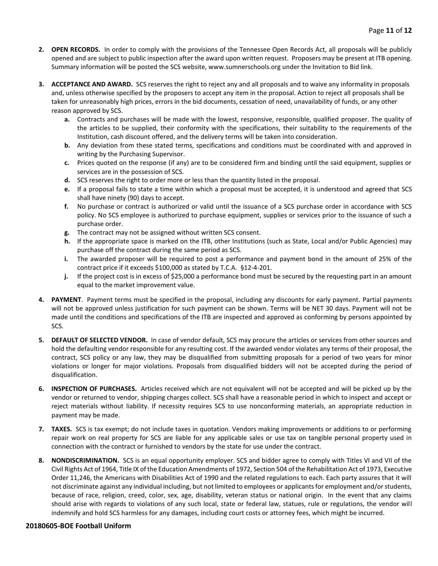- **2. OPEN RECORDS.** In order to comply with the provisions of the Tennessee Open Records Act, all proposals will be publicly opened and are subject to public inspection after the award upon written request. Proposers may be present at ITB opening. Summary information will be posted the SCS website, www.sumnerschools.org under the Invitation to Bid link.
- **3. ACCEPTANCE AND AWARD.** SCS reserves the right to reject any and all proposals and to waive any informality in proposals and, unless otherwise specified by the proposers to accept any item in the proposal. Action to reject all proposals shall be taken for unreasonably high prices, errors in the bid documents, cessation of need, unavailability of funds, or any other reason approved by SCS.
	- **a.** Contracts and purchases will be made with the lowest, responsive, responsible, qualified proposer. The quality of the articles to be supplied, their conformity with the specifications, their suitability to the requirements of the Institution, cash discount offered, and the delivery terms will be taken into consideration.
	- **b.** Any deviation from these stated terms, specifications and conditions must be coordinated with and approved in writing by the Purchasing Supervisor.
	- **c.** Prices quoted on the response (if any) are to be considered firm and binding until the said equipment, supplies or services are in the possession of SCS.
	- **d.** SCS reserves the right to order more or less than the quantity listed in the proposal.
	- **e.** If a proposal fails to state a time within which a proposal must be accepted, it is understood and agreed that SCS shall have ninety (90) days to accept.
	- **f.** No purchase or contract is authorized or valid until the issuance of a SCS purchase order in accordance with SCS policy. No SCS employee is authorized to purchase equipment, supplies or services prior to the issuance of such a purchase order.
	- **g.** The contract may not be assigned without written SCS consent.
	- **h.** If the appropriate space is marked on the ITB, other Institutions (such as State, Local and/or Public Agencies) may purchase off the contract during the same period as SCS.
	- **i.** The awarded proposer will be required to post a performance and payment bond in the amount of 25% of the contract price if it exceeds \$100,000 as stated by T.C.A. §12-4-201.
	- **j.** If the project cost is in excess of \$25,000 a performance bond must be secured by the requesting part in an amount equal to the market improvement value.
- **4. PAYMENT**. Payment terms must be specified in the proposal, including any discounts for early payment. Partial payments will not be approved unless justification for such payment can be shown. Terms will be NET 30 days. Payment will not be made until the conditions and specifications of the ITB are inspected and approved as conforming by persons appointed by SCS.
- **5. DEFAULT OF SELECTED VENDOR.** In case of vendor default, SCS may procure the articles or services from other sources and hold the defaulting vendor responsible for any resulting cost. If the awarded vendor violates any terms of their proposal, the contract, SCS policy or any law, they may be disqualified from submitting proposals for a period of two years for minor violations or longer for major violations. Proposals from disqualified bidders will not be accepted during the period of disqualification.
- **6. INSPECTION OF PURCHASES.** Articles received which are not equivalent will not be accepted and will be picked up by the vendor or returned to vendor, shipping charges collect. SCS shall have a reasonable period in which to inspect and accept or reject materials without liability. If necessity requires SCS to use nonconforming materials, an appropriate reduction in payment may be made.
- **7. TAXES.** SCS is tax exempt; do not include taxes in quotation. Vendors making improvements or additions to or performing repair work on real property for SCS are liable for any applicable sales or use tax on tangible personal property used in connection with the contract or furnished to vendors by the state for use under the contract.
- **8. NONDISCRIMINATION.** SCS is an equal opportunity employer. SCS and bidder agree to comply with Titles VI and VII of the Civil Rights Act of 1964, Title IX of the Education Amendments of 1972, Section 504 of the Rehabilitation Act of 1973, Executive Order 11,246, the Americans with Disabilities Act of 1990 and the related regulations to each. Each party assures that it will not discriminate against any individual including, but not limited to employees or applicants for employment and/or students, because of race, religion, creed, color, sex, age, disability, veteran status or national origin. In the event that any claims should arise with regards to violations of any such local, state or federal law, statues, rule or regulations, the vendor will indemnify and hold SCS harmless for any damages, including court costs or attorney fees, which might be incurred.

#### **20180605-BOE Football Uniform**